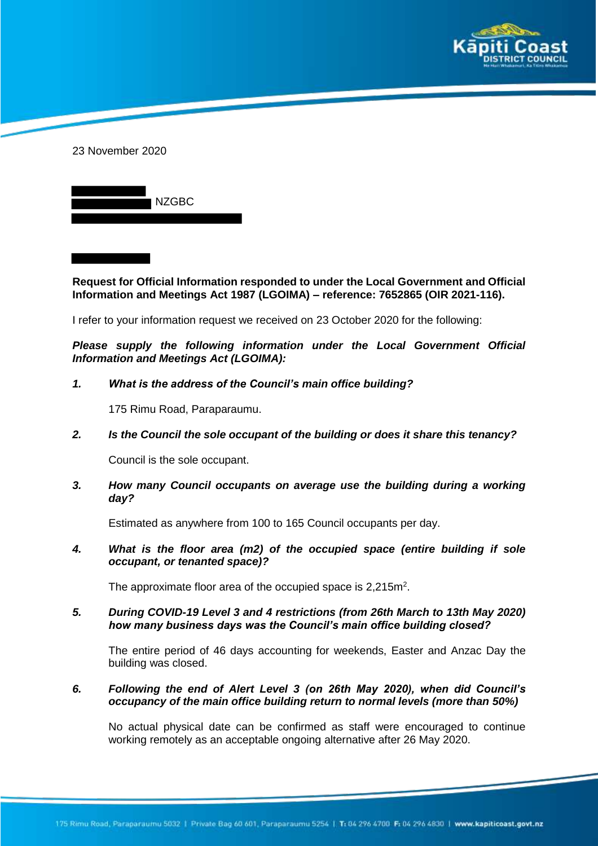



**Request for Official Information responded to under the Local Government and Official Information and Meetings Act 1987 (LGOIMA) – reference: 7652865 (OIR 2021-116).**

I refer to your information request we received on 23 October 2020 for the following:

*Please supply the following information under the Local Government Official Information and Meetings Act (LGOIMA):*

#### *1. What is the address of the Council's main office building?*

175 Rimu Road, Paraparaumu.

*2. Is the Council the sole occupant of the building or does it share this tenancy?* 

Council is the sole occupant.

*3. How many Council occupants on average use the building during a working day?*

Estimated as anywhere from 100 to 165 Council occupants per day.

*4. What is the floor area (m2) of the occupied space (entire building if sole occupant, or tenanted space)?*

The approximate floor area of the occupied space is  $2,215$ m<sup>2</sup>.

*5. During COVID-19 Level 3 and 4 restrictions (from 26th March to 13th May 2020) how many business days was the Council's main office building closed?*

The entire period of 46 days accounting for weekends, Easter and Anzac Day the building was closed.

*6. Following the end of Alert Level 3 (on 26th May 2020), when did Council's occupancy of the main office building return to normal levels (more than 50%)*

No actual physical date can be confirmed as staff were encouraged to continue working remotely as an acceptable ongoing alternative after 26 May 2020.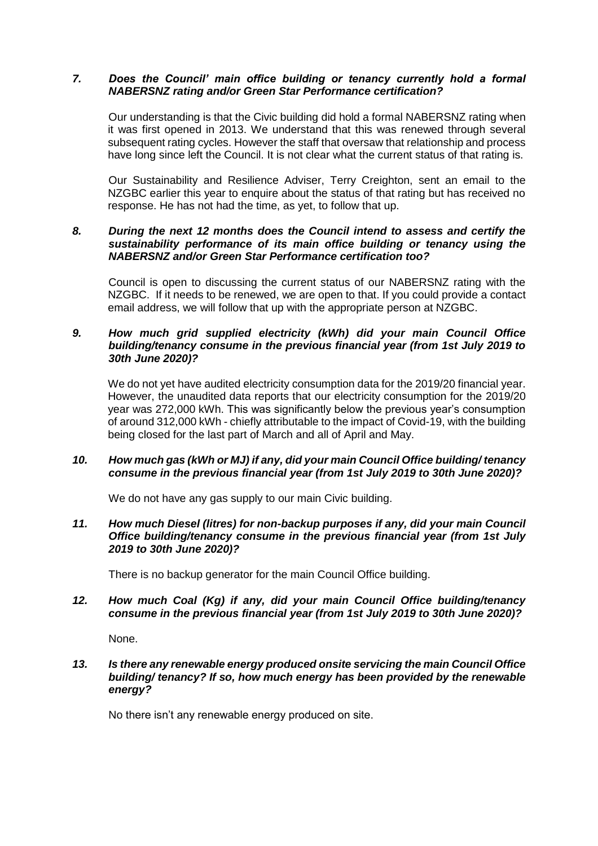### *7. Does the Council' main office building or tenancy currently hold a formal NABERSNZ rating and/or Green Star Performance certification?*

Our understanding is that the Civic building did hold a formal NABERSNZ rating when it was first opened in 2013. We understand that this was renewed through several subsequent rating cycles. However the staff that oversaw that relationship and process have long since left the Council. It is not clear what the current status of that rating is.

Our Sustainability and Resilience Adviser, Terry Creighton, sent an email to the NZGBC earlier this year to enquire about the status of that rating but has received no response. He has not had the time, as yet, to follow that up.

## *8. During the next 12 months does the Council intend to assess and certify the sustainability performance of its main office building or tenancy using the NABERSNZ and/or Green Star Performance certification too?*

Council is open to discussing the current status of our NABERSNZ rating with the NZGBC. If it needs to be renewed, we are open to that. If you could provide a contact email address, we will follow that up with the appropriate person at NZGBC.

## *9. How much grid supplied electricity (kWh) did your main Council Office building/tenancy consume in the previous financial year (from 1st July 2019 to 30th June 2020)?*

We do not yet have audited electricity consumption data for the 2019/20 financial year. However, the unaudited data reports that our electricity consumption for the 2019/20 year was 272,000 kWh. This was significantly below the previous year's consumption of around 312,000 kWh - chiefly attributable to the impact of Covid-19, with the building being closed for the last part of March and all of April and May.

# *10. How much gas (kWh or MJ) if any, did your main Council Office building/ tenancy consume in the previous financial year (from 1st July 2019 to 30th June 2020)?*

We do not have any gas supply to our main Civic building.

## *11. How much Diesel (litres) for non-backup purposes if any, did your main Council Office building/tenancy consume in the previous financial year (from 1st July 2019 to 30th June 2020)?*

There is no backup generator for the main Council Office building.

### *12. How much Coal (Kg) if any, did your main Council Office building/tenancy consume in the previous financial year (from 1st July 2019 to 30th June 2020)?*

None.

# *13. Is there any renewable energy produced onsite servicing the main Council Office building/ tenancy? If so, how much energy has been provided by the renewable energy?*

No there isn't any renewable energy produced on site.